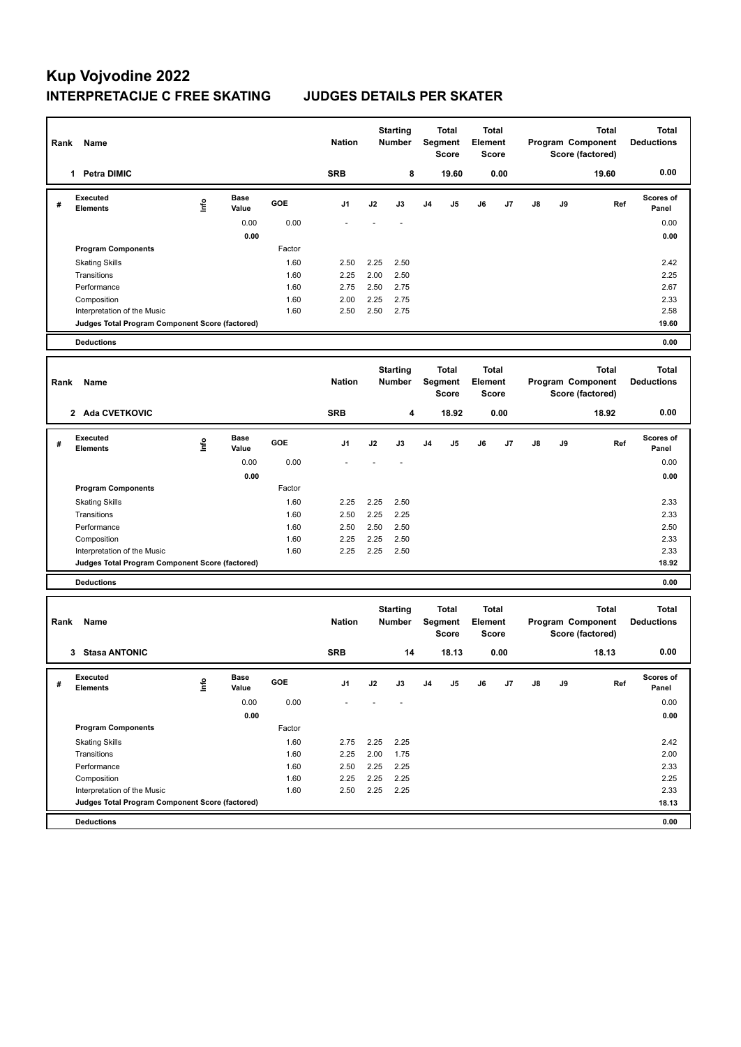| Rank | Name                                                                           |      |                      |              | <b>Nation</b>  |              | <b>Starting</b><br>Number        |                | <b>Total</b><br>Segment<br>Score | Total<br><b>Element</b> | <b>Score</b> |    | Program Component<br>Score (factored) | <b>Total</b><br><b>Deductions</b>                     |                                   |
|------|--------------------------------------------------------------------------------|------|----------------------|--------------|----------------|--------------|----------------------------------|----------------|----------------------------------|-------------------------|--------------|----|---------------------------------------|-------------------------------------------------------|-----------------------------------|
|      | 1 Petra DIMIC                                                                  |      |                      |              | <b>SRB</b>     |              | 8                                |                | 19.60                            |                         | 0.00         |    |                                       | 19.60                                                 | 0.00                              |
| #    | Executed<br><b>Elements</b>                                                    | lnfo | <b>Base</b><br>Value | GOE          | J1             | J2           | J3                               | J <sub>4</sub> | J5                               | J6                      | J7           | J8 | J9                                    | Ref                                                   | <b>Scores of</b><br>Panel         |
|      |                                                                                |      | 0.00                 | 0.00         |                |              |                                  |                |                                  |                         |              |    |                                       |                                                       | 0.00                              |
|      |                                                                                |      | 0.00                 |              |                |              |                                  |                |                                  |                         |              |    |                                       |                                                       | 0.00                              |
|      | <b>Program Components</b>                                                      |      |                      | Factor       |                |              |                                  |                |                                  |                         |              |    |                                       |                                                       |                                   |
|      | <b>Skating Skills</b>                                                          |      |                      | 1.60         | 2.50           | 2.25         | 2.50                             |                |                                  |                         |              |    |                                       |                                                       | 2.42                              |
|      | Transitions                                                                    |      |                      | 1.60         | 2.25           | 2.00         | 2.50                             |                |                                  |                         |              |    |                                       |                                                       | 2.25                              |
|      | Performance                                                                    |      |                      | 1.60         | 2.75           | 2.50         | 2.75                             |                |                                  |                         |              |    |                                       |                                                       | 2.67                              |
|      | Composition                                                                    |      |                      | 1.60<br>1.60 | 2.00           | 2.25         | 2.75<br>2.75                     |                |                                  |                         |              |    |                                       |                                                       | 2.33<br>2.58                      |
|      | Interpretation of the Music<br>Judges Total Program Component Score (factored) |      |                      |              | 2.50           | 2.50         |                                  |                |                                  |                         |              |    |                                       |                                                       | 19.60                             |
|      |                                                                                |      |                      |              |                |              |                                  |                |                                  |                         |              |    |                                       |                                                       |                                   |
|      | <b>Deductions</b>                                                              |      |                      |              |                |              |                                  |                |                                  |                         |              |    |                                       |                                                       | 0.00                              |
| Rank | Name                                                                           |      |                      |              | <b>Nation</b>  |              | <b>Starting</b><br><b>Number</b> |                | <b>Total</b><br>Segment<br>Score | <b>Total</b><br>Element | <b>Score</b> |    |                                       | <b>Total</b><br>Program Component<br>Score (factored) | <b>Total</b><br><b>Deductions</b> |
|      | 2 Ada CVETKOVIC                                                                |      |                      |              | <b>SRB</b>     |              | 4                                |                | 18.92                            |                         | 0.00         |    |                                       | 18.92                                                 | 0.00                              |
| #    | <b>Executed</b><br><b>Elements</b>                                             | lnfo | <b>Base</b><br>Value | GOE          | J <sub>1</sub> | J2           | J3                               | J <sub>4</sub> | J5                               | J6                      | J7           | J8 | J9                                    | Ref                                                   | <b>Scores of</b><br>Panel         |
|      |                                                                                |      | 0.00                 | 0.00         |                |              |                                  |                |                                  |                         |              |    |                                       |                                                       | 0.00                              |
|      |                                                                                |      | 0.00                 |              |                |              |                                  |                |                                  |                         |              |    |                                       |                                                       | 0.00                              |
|      | <b>Program Components</b>                                                      |      |                      | Factor       |                |              |                                  |                |                                  |                         |              |    |                                       |                                                       |                                   |
|      | <b>Skating Skills</b>                                                          |      |                      | 1.60         | 2.25           | 2.25         | 2.50                             |                |                                  |                         |              |    |                                       |                                                       | 2.33                              |
|      | Transitions                                                                    |      |                      | 1.60         | 2.50           | 2.25         | 2.25                             |                |                                  |                         |              |    |                                       |                                                       | 2.33                              |
|      | Performance                                                                    |      |                      | 1.60         | 2.50           | 2.50         | 2.50                             |                |                                  |                         |              |    |                                       |                                                       | 2.50                              |
|      | Composition                                                                    |      |                      | 1.60<br>1.60 | 2.25           | 2.25<br>2.25 | 2.50<br>2.50                     |                |                                  |                         |              |    |                                       |                                                       | 2.33<br>2.33                      |
|      | Interpretation of the Music<br>Judges Total Program Component Score (factored) |      |                      |              | 2.25           |              |                                  |                |                                  |                         |              |    |                                       |                                                       | 18.92                             |
|      |                                                                                |      |                      |              |                |              |                                  |                |                                  |                         |              |    |                                       |                                                       |                                   |
|      | <b>Deductions</b>                                                              |      |                      |              |                |              |                                  |                |                                  |                         |              |    |                                       |                                                       | 0.00                              |
| Rank | Name                                                                           |      |                      |              | <b>Nation</b>  |              | <b>Starting</b><br><b>Number</b> |                | <b>Total</b><br>Segment<br>Score | Total<br>Element        | <b>Score</b> |    |                                       | <b>Total</b><br>Program Component<br>Score (factored) | <b>Total</b><br><b>Deductions</b> |
|      | 3 Stasa ANTONIC                                                                |      |                      |              | <b>SRB</b>     |              | 14                               |                | 18.13                            |                         | 0.00         |    |                                       | 18.13                                                 | 0.00                              |
| #    | Executed<br><b>Elements</b>                                                    | ١nfo | Base<br>Value        | GOE          | J1             | J2           | J3                               | J <sub>4</sub> | J5                               | J6                      | J7           | J8 | J9                                    | Ref                                                   | <b>Scores of</b><br>Panel         |
|      |                                                                                |      | 0.00                 | 0.00         |                |              |                                  |                |                                  |                         |              |    |                                       |                                                       | 0.00                              |
|      |                                                                                |      | 0.00                 |              |                |              |                                  |                |                                  |                         |              |    |                                       |                                                       | 0.00                              |
|      | <b>Program Components</b>                                                      |      |                      | Factor       |                |              |                                  |                |                                  |                         |              |    |                                       |                                                       |                                   |
|      | <b>Skating Skills</b>                                                          |      |                      | 1.60         | 2.75           | 2.25         | 2.25                             |                |                                  |                         |              |    |                                       |                                                       | 2.42                              |
|      | Transitions                                                                    |      |                      | 1.60         | 2.25           | 2.00         | 1.75                             |                |                                  |                         |              |    |                                       |                                                       | 2.00                              |
|      | Performance                                                                    |      |                      | 1.60         | 2.50           | 2.25         | 2.25                             |                |                                  |                         |              |    |                                       |                                                       | 2.33                              |
|      | Composition                                                                    |      |                      | 1.60         | 2.25           | 2.25         | 2.25                             |                |                                  |                         |              |    |                                       |                                                       | 2.25                              |
|      | Interpretation of the Music                                                    |      |                      | 1.60         | 2.50           | 2.25         | 2.25                             |                |                                  |                         |              |    |                                       |                                                       | 2.33                              |
|      | Judges Total Program Component Score (factored)                                |      |                      |              |                |              |                                  |                |                                  |                         |              |    |                                       |                                                       | 18.13                             |
|      | <b>Deductions</b>                                                              |      |                      |              |                |              |                                  |                |                                  |                         |              |    |                                       |                                                       | 0.00                              |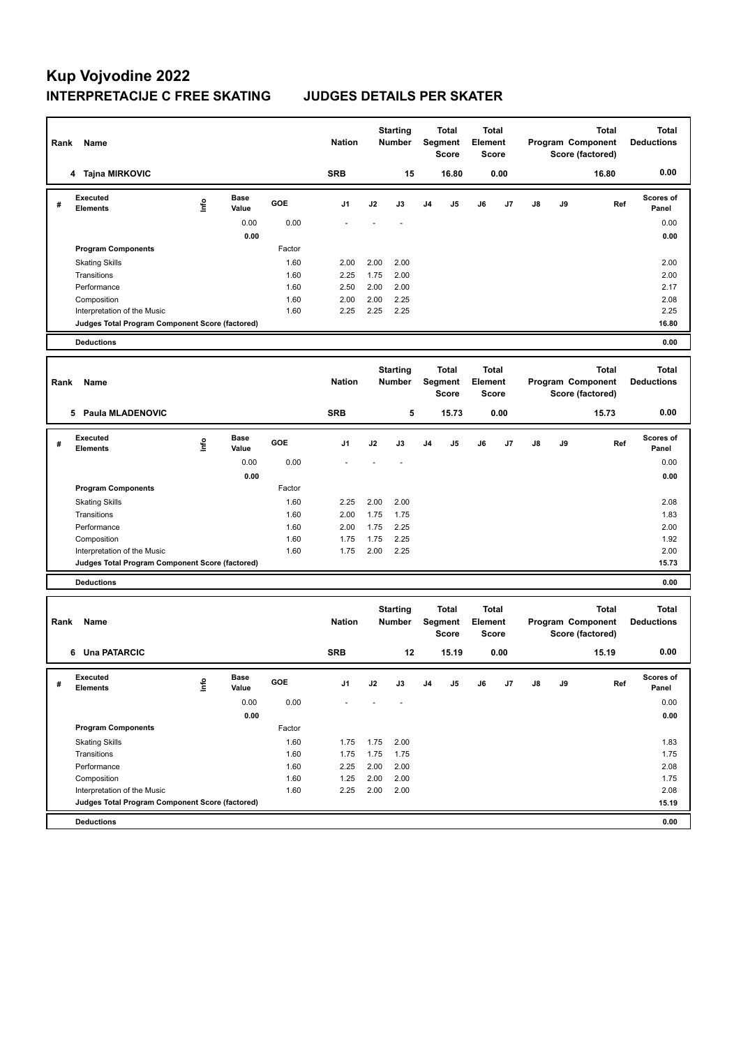| Rank | Name                                            |      |                      |              | <b>Nation</b>  |              | <b>Starting</b><br>Number        |                | <b>Total</b><br>Segment<br>Score | Total<br><b>Element</b> | <b>Score</b> |    |    | Total<br>Program Component<br>Score (factored)        | <b>Total</b><br><b>Deductions</b> |
|------|-------------------------------------------------|------|----------------------|--------------|----------------|--------------|----------------------------------|----------------|----------------------------------|-------------------------|--------------|----|----|-------------------------------------------------------|-----------------------------------|
|      | 4 Tajna MIRKOVIC                                |      |                      |              | <b>SRB</b>     |              | 15                               |                | 16.80                            |                         | 0.00         |    |    | 16.80                                                 | 0.00                              |
| #    | Executed<br><b>Elements</b>                     | lnfo | <b>Base</b><br>Value | GOE          | J1             | J2           | J3                               | J <sub>4</sub> | J5                               | J6                      | J7           | J8 | J9 | Ref                                                   | <b>Scores of</b><br>Panel         |
|      |                                                 |      | 0.00                 | 0.00         |                |              |                                  |                |                                  |                         |              |    |    |                                                       | 0.00                              |
|      |                                                 |      | 0.00                 |              |                |              |                                  |                |                                  |                         |              |    |    |                                                       | 0.00                              |
|      | <b>Program Components</b>                       |      |                      | Factor       |                |              |                                  |                |                                  |                         |              |    |    |                                                       |                                   |
|      | <b>Skating Skills</b>                           |      |                      | 1.60         | 2.00           | 2.00         | 2.00                             |                |                                  |                         |              |    |    |                                                       | 2.00                              |
|      | Transitions<br>Performance                      |      |                      | 1.60<br>1.60 | 2.25<br>2.50   | 1.75<br>2.00 | 2.00<br>2.00                     |                |                                  |                         |              |    |    |                                                       | 2.00<br>2.17                      |
|      | Composition                                     |      |                      | 1.60         | 2.00           | 2.00         | 2.25                             |                |                                  |                         |              |    |    |                                                       | 2.08                              |
|      | Interpretation of the Music                     |      |                      | 1.60         | 2.25           | 2.25         | 2.25                             |                |                                  |                         |              |    |    |                                                       | 2.25                              |
|      | Judges Total Program Component Score (factored) |      |                      |              |                |              |                                  |                |                                  |                         |              |    |    |                                                       | 16.80                             |
|      | <b>Deductions</b>                               |      |                      |              |                |              |                                  |                |                                  |                         |              |    |    |                                                       | 0.00                              |
|      |                                                 |      |                      |              |                |              |                                  |                |                                  |                         |              |    |    |                                                       |                                   |
| Rank | Name                                            |      |                      |              | <b>Nation</b>  |              | <b>Starting</b><br><b>Number</b> |                | <b>Total</b><br>Segment<br>Score | <b>Total</b><br>Element | <b>Score</b> |    |    | <b>Total</b><br>Program Component<br>Score (factored) | <b>Total</b><br><b>Deductions</b> |
|      | 5 Paula MLADENOVIC                              |      |                      |              | <b>SRB</b>     |              | 5                                |                | 15.73                            |                         | 0.00         |    |    | 15.73                                                 | 0.00                              |
| #    | <b>Executed</b><br><b>Elements</b>              | lnfo | <b>Base</b><br>Value | GOE          | J <sub>1</sub> | J2           | J3                               | J <sub>4</sub> | J5                               | J6                      | J7           | J8 | J9 | Ref                                                   | <b>Scores of</b><br>Panel         |
|      |                                                 |      | 0.00                 | 0.00         |                |              |                                  |                |                                  |                         |              |    |    |                                                       | 0.00                              |
|      |                                                 |      | 0.00                 |              |                |              |                                  |                |                                  |                         |              |    |    |                                                       | 0.00                              |
|      | <b>Program Components</b>                       |      |                      | Factor       |                |              |                                  |                |                                  |                         |              |    |    |                                                       |                                   |
|      | <b>Skating Skills</b>                           |      |                      | 1.60         | 2.25           | 2.00         | 2.00                             |                |                                  |                         |              |    |    |                                                       | 2.08                              |
|      | Transitions                                     |      |                      | 1.60         | 2.00           | 1.75         | 1.75                             |                |                                  |                         |              |    |    |                                                       | 1.83                              |
|      | Performance<br>Composition                      |      |                      | 1.60<br>1.60 | 2.00<br>1.75   | 1.75<br>1.75 | 2.25<br>2.25                     |                |                                  |                         |              |    |    |                                                       | 2.00<br>1.92                      |
|      | Interpretation of the Music                     |      |                      | 1.60         | 1.75           | 2.00         | 2.25                             |                |                                  |                         |              |    |    |                                                       | 2.00                              |
|      | Judges Total Program Component Score (factored) |      |                      |              |                |              |                                  |                |                                  |                         |              |    |    |                                                       | 15.73                             |
|      | <b>Deductions</b>                               |      |                      |              |                |              |                                  |                |                                  |                         |              |    |    |                                                       | 0.00                              |
|      |                                                 |      |                      |              |                |              |                                  |                |                                  |                         |              |    |    |                                                       |                                   |
| Rank | Name                                            |      |                      |              | <b>Nation</b>  |              | <b>Starting</b><br><b>Number</b> |                | <b>Total</b><br>Segment<br>Score | Total<br>Element        | <b>Score</b> |    |    | <b>Total</b><br>Program Component<br>Score (factored) | <b>Total</b><br><b>Deductions</b> |
|      | 6 Una PATARCIC                                  |      |                      |              | <b>SRB</b>     |              | 12                               |                | 15.19                            |                         | 0.00         |    |    | 15.19                                                 | 0.00                              |
| #    | Executed<br><b>Elements</b>                     | ١nf٥ | Base<br>Value        | GOE          | J1             | J2           | J3                               | J4             | J5                               | J6                      | J7           | J8 | J9 | Ref                                                   | <b>Scores of</b><br>Panel         |
|      |                                                 |      | 0.00                 | 0.00         |                |              |                                  |                |                                  |                         |              |    |    |                                                       | 0.00                              |
|      |                                                 |      | 0.00                 |              |                |              |                                  |                |                                  |                         |              |    |    |                                                       | 0.00                              |
|      | <b>Program Components</b>                       |      |                      | Factor       |                |              |                                  |                |                                  |                         |              |    |    |                                                       |                                   |
|      | <b>Skating Skills</b>                           |      |                      | 1.60         | 1.75           | 1.75         | 2.00                             |                |                                  |                         |              |    |    |                                                       | 1.83                              |
|      | Transitions                                     |      |                      | 1.60         | 1.75           | 1.75         | 1.75                             |                |                                  |                         |              |    |    |                                                       | 1.75                              |
|      | Performance                                     |      |                      | 1.60         | 2.25           | 2.00         | 2.00                             |                |                                  |                         |              |    |    |                                                       | 2.08                              |
|      | Composition<br>Interpretation of the Music      |      |                      | 1.60<br>1.60 | 1.25<br>2.25   | 2.00<br>2.00 | 2.00<br>2.00                     |                |                                  |                         |              |    |    |                                                       | 1.75<br>2.08                      |
|      | Judges Total Program Component Score (factored) |      |                      |              |                |              |                                  |                |                                  |                         |              |    |    |                                                       | 15.19                             |
|      | <b>Deductions</b>                               |      |                      |              |                |              |                                  |                |                                  |                         |              |    |    |                                                       | 0.00                              |
|      |                                                 |      |                      |              |                |              |                                  |                |                                  |                         |              |    |    |                                                       |                                   |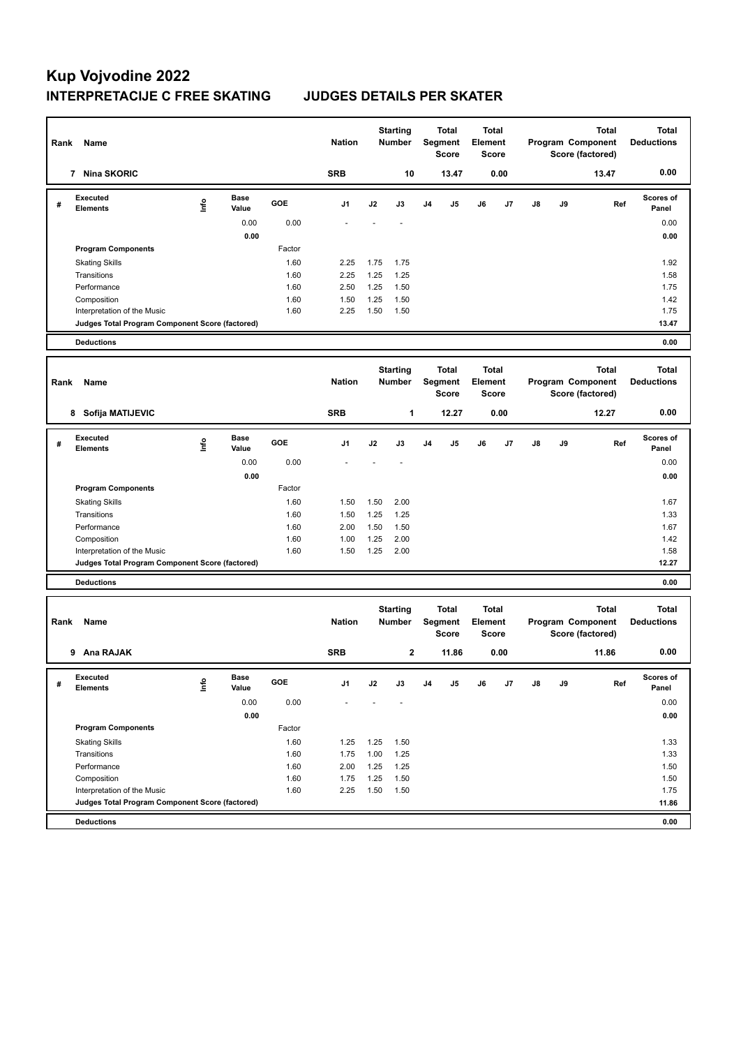| Rank | Name                                            |      |                      |              | <b>Nation</b>  |              | <b>Starting</b><br><b>Number</b> |                | <b>Total</b><br>Segment<br>Score        | <b>Total</b><br>Element | Score        |    |    | <b>Total</b><br>Program Component<br>Score (factored) | <b>Total</b><br><b>Deductions</b> |
|------|-------------------------------------------------|------|----------------------|--------------|----------------|--------------|----------------------------------|----------------|-----------------------------------------|-------------------------|--------------|----|----|-------------------------------------------------------|-----------------------------------|
|      | 7 Nina SKORIC                                   |      |                      |              | <b>SRB</b>     |              | 10                               |                | 13.47                                   |                         | 0.00         |    |    | 13.47                                                 | 0.00                              |
| #    | <b>Executed</b><br><b>Elements</b>              | lnfo | <b>Base</b><br>Value | GOE          | J <sub>1</sub> | J2           | J3                               | J <sub>4</sub> | J5                                      | J6                      | J7           | J8 | J9 | Ref                                                   | <b>Scores of</b><br>Panel         |
|      |                                                 |      | 0.00                 | 0.00         |                |              |                                  |                |                                         |                         |              |    |    |                                                       | 0.00                              |
|      |                                                 |      | 0.00                 |              |                |              |                                  |                |                                         |                         |              |    |    |                                                       | 0.00                              |
|      | <b>Program Components</b>                       |      |                      | Factor       |                |              |                                  |                |                                         |                         |              |    |    |                                                       |                                   |
|      | <b>Skating Skills</b>                           |      |                      | 1.60         | 2.25           | 1.75         | 1.75                             |                |                                         |                         |              |    |    |                                                       | 1.92                              |
|      | Transitions<br>Performance                      |      |                      | 1.60<br>1.60 | 2.25<br>2.50   | 1.25<br>1.25 | 1.25<br>1.50                     |                |                                         |                         |              |    |    |                                                       | 1.58<br>1.75                      |
|      | Composition                                     |      |                      | 1.60         | 1.50           | 1.25         | 1.50                             |                |                                         |                         |              |    |    |                                                       | 1.42                              |
|      | Interpretation of the Music                     |      |                      | 1.60         | 2.25           | 1.50         | 1.50                             |                |                                         |                         |              |    |    |                                                       | 1.75                              |
|      | Judges Total Program Component Score (factored) |      |                      |              |                |              |                                  |                |                                         |                         |              |    |    |                                                       | 13.47                             |
|      | <b>Deductions</b>                               |      |                      |              |                |              |                                  |                |                                         |                         |              |    |    |                                                       | 0.00                              |
|      |                                                 |      |                      |              |                |              |                                  |                |                                         |                         |              |    |    |                                                       |                                   |
| Rank | Name                                            |      |                      |              | <b>Nation</b>  |              | <b>Starting</b><br><b>Number</b> |                | <b>Total</b><br>Segment<br>Score        | <b>Total</b><br>Element | <b>Score</b> |    |    | Total<br>Program Component<br>Score (factored)        | <b>Total</b><br><b>Deductions</b> |
|      | 8 Sofija MATIJEVIC                              |      |                      |              | <b>SRB</b>     |              | 1                                |                | 12.27                                   |                         | 0.00         |    |    | 12.27                                                 | 0.00                              |
| #    | <b>Executed</b><br><b>Elements</b>              | ١mfo | <b>Base</b><br>Value | GOE          | J1             | J2           | J3                               | J <sub>4</sub> | J5                                      | J6                      | J7           | J8 | J9 | Ref                                                   | <b>Scores of</b><br>Panel         |
|      |                                                 |      | 0.00                 | 0.00         |                |              |                                  |                |                                         |                         |              |    |    |                                                       | 0.00                              |
|      |                                                 |      | 0.00                 |              |                |              |                                  |                |                                         |                         |              |    |    |                                                       | 0.00                              |
|      | <b>Program Components</b>                       |      |                      | Factor       |                |              |                                  |                |                                         |                         |              |    |    |                                                       |                                   |
|      | <b>Skating Skills</b>                           |      |                      | 1.60         | 1.50           | 1.50         | 2.00                             |                |                                         |                         |              |    |    |                                                       | 1.67                              |
|      | Transitions                                     |      |                      | 1.60         | 1.50           | 1.25         | 1.25                             |                |                                         |                         |              |    |    |                                                       | 1.33                              |
|      | Performance                                     |      |                      | 1.60<br>1.60 | 2.00<br>1.00   | 1.50<br>1.25 | 1.50<br>2.00                     |                |                                         |                         |              |    |    |                                                       | 1.67<br>1.42                      |
|      | Composition<br>Interpretation of the Music      |      |                      | 1.60         | 1.50           | 1.25         | 2.00                             |                |                                         |                         |              |    |    |                                                       | 1.58                              |
|      | Judges Total Program Component Score (factored) |      |                      |              |                |              |                                  |                |                                         |                         |              |    |    |                                                       | 12.27                             |
|      | <b>Deductions</b>                               |      |                      |              |                |              |                                  |                |                                         |                         |              |    |    |                                                       | 0.00                              |
|      |                                                 |      |                      |              |                |              |                                  |                |                                         |                         |              |    |    |                                                       |                                   |
| Rank | Name                                            |      |                      |              | <b>Nation</b>  |              | <b>Starting</b><br><b>Number</b> |                | <b>Total</b><br>Segment<br><b>Score</b> | Total<br><b>Element</b> | <b>Score</b> |    |    | <b>Total</b><br>Program Component<br>Score (factored) | <b>Total</b><br><b>Deductions</b> |
|      | 9 Ana RAJAK                                     |      |                      |              | <b>SRB</b>     |              | $\mathbf{2}$                     |                | 11.86                                   |                         | 0.00         |    |    | 11.86                                                 | 0.00                              |
| #    | Executed<br><b>Elements</b>                     | ١nf٥ | Base<br>Value        | GOE          | J1             | J2           | J3                               | J <sub>4</sub> | J5                                      | J6                      | J7           | J8 | J9 | Ref                                                   | Scores of<br>Panel                |
|      |                                                 |      | 0.00                 | 0.00         |                |              |                                  |                |                                         |                         |              |    |    |                                                       | 0.00                              |
|      |                                                 |      | 0.00                 |              |                |              |                                  |                |                                         |                         |              |    |    |                                                       | 0.00                              |
|      | <b>Program Components</b>                       |      |                      | Factor       |                |              |                                  |                |                                         |                         |              |    |    |                                                       |                                   |
|      | <b>Skating Skills</b>                           |      |                      | 1.60         | 1.25           | 1.25         | 1.50                             |                |                                         |                         |              |    |    |                                                       | 1.33                              |
|      | Transitions                                     |      |                      | 1.60         | 1.75           | 1.00         | 1.25                             |                |                                         |                         |              |    |    |                                                       | 1.33                              |
|      | Performance                                     |      |                      | 1.60         | 2.00           | 1.25         | 1.25                             |                |                                         |                         |              |    |    |                                                       | 1.50                              |
|      | Composition<br>Interpretation of the Music      |      |                      | 1.60<br>1.60 | 1.75<br>2.25   | 1.25<br>1.50 | 1.50<br>1.50                     |                |                                         |                         |              |    |    |                                                       | 1.50<br>1.75                      |
|      | Judges Total Program Component Score (factored) |      |                      |              |                |              |                                  |                |                                         |                         |              |    |    |                                                       | 11.86                             |
|      | <b>Deductions</b>                               |      |                      |              |                |              |                                  |                |                                         |                         |              |    |    |                                                       | 0.00                              |
|      |                                                 |      |                      |              |                |              |                                  |                |                                         |                         |              |    |    |                                                       |                                   |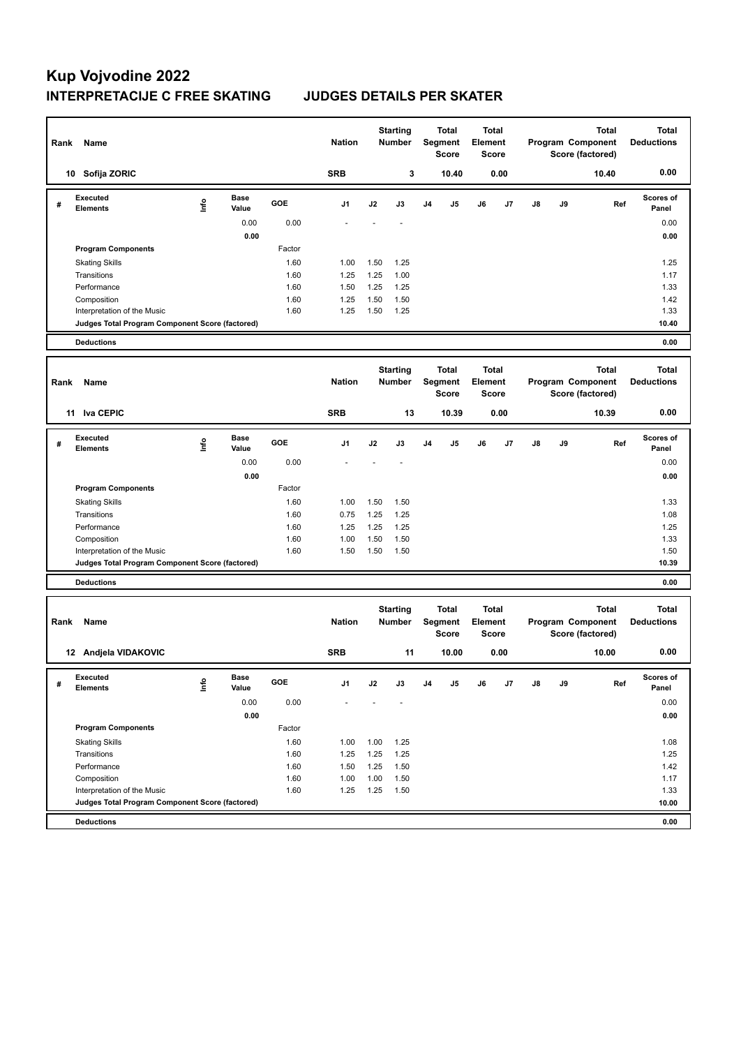| Rank | Name                                            |      |                      |              | <b>Nation</b> |              | <b>Starting</b><br><b>Number</b> |                | <b>Total</b><br>Segment<br>Score        | <b>Total</b><br>Element | <b>Score</b> |    |    | <b>Total</b><br>Program Component<br>Score (factored) | <b>Total</b><br><b>Deductions</b> |
|------|-------------------------------------------------|------|----------------------|--------------|---------------|--------------|----------------------------------|----------------|-----------------------------------------|-------------------------|--------------|----|----|-------------------------------------------------------|-----------------------------------|
|      | 10 Sofija ZORIC                                 |      |                      |              | <b>SRB</b>    |              | 3                                |                | 10.40                                   |                         | 0.00         |    |    | 10.40                                                 | 0.00                              |
| #    | <b>Executed</b><br><b>Elements</b>              | lnfo | Base<br>Value        | GOE          | J1            | J2           | J3                               | J <sub>4</sub> | J5                                      | J6                      | J7           | J8 | J9 | Ref                                                   | <b>Scores of</b><br>Panel         |
|      |                                                 |      | 0.00                 | 0.00         |               |              |                                  |                |                                         |                         |              |    |    |                                                       | 0.00                              |
|      |                                                 |      | 0.00                 |              |               |              |                                  |                |                                         |                         |              |    |    |                                                       | 0.00                              |
|      | <b>Program Components</b>                       |      |                      | Factor       |               |              |                                  |                |                                         |                         |              |    |    |                                                       |                                   |
|      | <b>Skating Skills</b>                           |      |                      | 1.60         | 1.00          | 1.50         | 1.25                             |                |                                         |                         |              |    |    |                                                       | 1.25                              |
|      | Transitions                                     |      |                      | 1.60         | 1.25          | 1.25         | 1.00                             |                |                                         |                         |              |    |    |                                                       | 1.17                              |
|      | Performance<br>Composition                      |      |                      | 1.60<br>1.60 | 1.50<br>1.25  | 1.25<br>1.50 | 1.25<br>1.50                     |                |                                         |                         |              |    |    |                                                       | 1.33<br>1.42                      |
|      | Interpretation of the Music                     |      |                      | 1.60         | 1.25          | 1.50         | 1.25                             |                |                                         |                         |              |    |    |                                                       | 1.33                              |
|      | Judges Total Program Component Score (factored) |      |                      |              |               |              |                                  |                |                                         |                         |              |    |    |                                                       | 10.40                             |
|      | <b>Deductions</b>                               |      |                      |              |               |              |                                  |                |                                         |                         |              |    |    |                                                       | 0.00                              |
|      |                                                 |      |                      |              |               |              |                                  |                |                                         |                         |              |    |    |                                                       |                                   |
| Rank | Name                                            |      |                      |              | <b>Nation</b> |              | <b>Starting</b><br>Number        |                | <b>Total</b><br>Segment<br>Score        | <b>Total</b><br>Element | <b>Score</b> |    |    | <b>Total</b><br>Program Component<br>Score (factored) | <b>Total</b><br><b>Deductions</b> |
|      | 11 Iva CEPIC                                    |      |                      |              | <b>SRB</b>    |              | 13                               |                | 10.39                                   |                         | 0.00         |    |    | 10.39                                                 | 0.00                              |
| #    | <b>Executed</b><br>Elements                     | lnfo | <b>Base</b><br>Value | GOE          | J1            | J2           | J3                               | J <sub>4</sub> | J5                                      | J6                      | J7           | J8 | J9 | Ref                                                   | <b>Scores of</b><br>Panel         |
|      |                                                 |      | 0.00                 | 0.00         |               |              |                                  |                |                                         |                         |              |    |    |                                                       | 0.00                              |
|      |                                                 |      | 0.00                 |              |               |              |                                  |                |                                         |                         |              |    |    |                                                       | 0.00                              |
|      | <b>Program Components</b>                       |      |                      | Factor       |               |              |                                  |                |                                         |                         |              |    |    |                                                       |                                   |
|      | <b>Skating Skills</b>                           |      |                      | 1.60         | 1.00          | 1.50         | 1.50                             |                |                                         |                         |              |    |    |                                                       | 1.33                              |
|      | Transitions                                     |      |                      | 1.60         | 0.75          | 1.25         | 1.25                             |                |                                         |                         |              |    |    |                                                       | 1.08                              |
|      | Performance                                     |      |                      | 1.60         | 1.25          | 1.25         | 1.25                             |                |                                         |                         |              |    |    |                                                       | 1.25                              |
|      | Composition<br>Interpretation of the Music      |      |                      | 1.60<br>1.60 | 1.00<br>1.50  | 1.50<br>1.50 | 1.50<br>1.50                     |                |                                         |                         |              |    |    |                                                       | 1.33<br>1.50                      |
|      | Judges Total Program Component Score (factored) |      |                      |              |               |              |                                  |                |                                         |                         |              |    |    |                                                       | 10.39                             |
|      | <b>Deductions</b>                               |      |                      |              |               |              |                                  |                |                                         |                         |              |    |    |                                                       | 0.00                              |
|      |                                                 |      |                      |              |               |              |                                  |                |                                         |                         |              |    |    |                                                       |                                   |
| Rank | Name                                            |      |                      |              | <b>Nation</b> |              | <b>Starting</b><br><b>Number</b> |                | <b>Total</b><br>Segment<br><b>Score</b> | <b>Total</b><br>Element | <b>Score</b> |    |    | <b>Total</b><br>Program Component<br>Score (factored) | <b>Total</b><br><b>Deductions</b> |
|      | 12 Andjela VIDAKOVIC                            |      |                      |              | <b>SRB</b>    |              | 11                               |                | 10.00                                   |                         | 0.00         |    |    | 10.00                                                 | 0.00                              |
| #    | Executed<br><b>Elements</b>                     | lnfo | вase<br>Value        | GOE          | J1            | J2           | J3                               | J4             | J5                                      | J6                      | J7           | J8 | J9 | Ref                                                   | <b>Scores or</b><br>Panel         |
|      |                                                 |      | 0.00                 | 0.00         |               |              |                                  |                |                                         |                         |              |    |    |                                                       | 0.00                              |
|      |                                                 |      | 0.00                 |              |               |              |                                  |                |                                         |                         |              |    |    |                                                       | 0.00                              |
|      | <b>Program Components</b>                       |      |                      | Factor       |               |              |                                  |                |                                         |                         |              |    |    |                                                       |                                   |
|      | <b>Skating Skills</b>                           |      |                      | 1.60         | 1.00          | 1.00         | 1.25                             |                |                                         |                         |              |    |    |                                                       | 1.08                              |
|      | Transitions                                     |      |                      | 1.60         | 1.25          | 1.25         | 1.25                             |                |                                         |                         |              |    |    |                                                       | 1.25                              |
|      | Performance                                     |      |                      | 1.60         | 1.50          | 1.25         | 1.50                             |                |                                         |                         |              |    |    |                                                       | 1.42                              |
|      | Composition<br>Interpretation of the Music      |      |                      | 1.60<br>1.60 | 1.00<br>1.25  | 1.00<br>1.25 | 1.50<br>1.50                     |                |                                         |                         |              |    |    |                                                       | 1.17<br>1.33                      |
|      | Judges Total Program Component Score (factored) |      |                      |              |               |              |                                  |                |                                         |                         |              |    |    |                                                       | 10.00                             |
|      | <b>Deductions</b>                               |      |                      |              |               |              |                                  |                |                                         |                         |              |    |    |                                                       | 0.00                              |
|      |                                                 |      |                      |              |               |              |                                  |                |                                         |                         |              |    |    |                                                       |                                   |